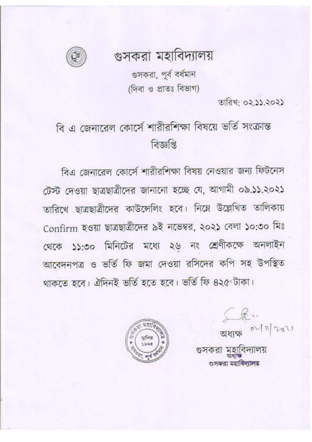গুসকরা মহাবিদ্যালয়



গুসকরা, পূর্ব বর্ধমান (দিবা ও প্রাতঃ বিভাগ)

তারিখ: ০২.১১.২০২১

## বি এ জেনারেল কোর্সে শারীরশিক্ষা বিষয়ে ভর্তি সংক্রান্ত বিজ্ঞপ্তি

বিএ জেনারেল কোর্সে শারীরশিক্ষা বিষয় নেওয়ার জন্য ফিটনেস টেস্ট দেওয়া ছাত্রছাত্রীদের জানানো হচ্ছে যে, আগামী ০৯.১১.২০২১ তারিখে ছাত্রছাত্রীদের কাউন্সেলিং হবে। নিম্নে উল্লেখিত তালিকায় Confirm হওয়া ছাত্রছাত্রীদের ৯ই নভেম্বর, ২০২১ বেলা ১০:৩০ মিঃ থেকে ১১:৩০ মিনিটের মধ্যে ২৬ নং শ্রেণীকক্ষে অনলাইন আবেদনপত্র ও ভর্তি ফি জমা দেওয়া রসিদের কপি সহ উপস্থিত থাকতে হবে। ঐদিনই ভৰ্তি হতে হবে। ভৰ্তি ফি ৪২৫ টাকা।



02/11/2021 গুসকরা মহাবিদ্যালয় গুসকরা মহাবিদ্যালয়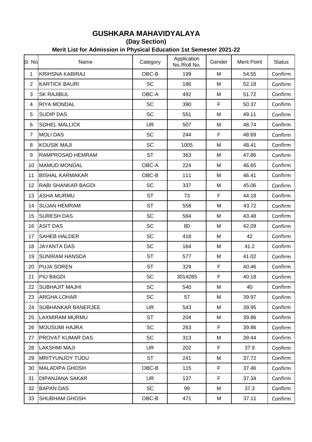## **GUSHKARA MAHAVIDYALAYA**

**(Day Section)**

**Merit List for Admission in Physical Education 1st Semester 2021-22**

| SI. No           | Name                      | Category  | Application<br>No./Roll No. | Gender      | <b>Merit Point</b> | <b>Status</b> |
|------------------|---------------------------|-----------|-----------------------------|-------------|--------------------|---------------|
| $\mathbf{1}$     | <b>KRIHSNA KABIRAJ</b>    | OBC-B     | 199                         | M           | 54.55              | Confirm       |
| $\overline{2}$   | <b>KARTICK BAURI</b>      | <b>SC</b> | 186                         | M           | 52.18              | Confirm       |
| $\mathfrak{S}$   | <b>SK RAJIBUL</b>         | OBC-A     | 492                         | M           | 51.72              | Confirm       |
| 4                | <b>RIYA MONDAL</b>        | SC        | 390                         | F           | 50.37              | Confirm       |
| $\overline{5}$   | <b>SUDIP DAS</b>          | <b>SC</b> | 551                         | M           | 49.11              | Confirm       |
| $6\phantom{1}6$  | <b>SOHEL MALLICK</b>      | <b>UR</b> | 507                         | M           | 48.74              | Confirm       |
| $\overline{7}$   | <b>MOLI DAS</b>           | SC        | 244                         | F           | 48.69              | Confirm       |
| 8                | <b>KOUSIK MAJI</b>        | SC        | 1005                        | M           | 48.41              | Confirm       |
| $\boldsymbol{9}$ | RAMPROSAD HEMRAM          | <b>ST</b> | 363                         | M           | 47.86              | Confirm       |
| 10               | <b>MAMUD MONDAL</b>       | OBC-A     | 224                         | M           | 46.65              | Confirm       |
| 11               | <b>BISHAL KARMAKAR</b>    | OBC-B     | 111                         | M           | 46.41              | Confirm       |
| 12               | <b>RABI SHANKAR BAGDI</b> | SC        | 337                         | M           | 45.06              | Confirm       |
| 13               | <b>ASHA MURMU</b>         | <b>ST</b> | 73                          | F           | 44.18              | Confirm       |
| 14               | <b>SUJAN HEMRAM</b>       | <b>ST</b> | 558                         | M           | 43.72              | Confirm       |
| 15               | <b>SURESH DAS</b>         | SC        | 584                         | M           | 43.48              | Confirm       |
| 16               | <b>ASIT DAS</b>           | SC        | 80                          | M           | 42.09              | Confirm       |
| 17               | <b>SAHEB HALDER</b>       | SC        | 418                         | M           | 42                 | Confirm       |
| 18               | <b>JAYANTA DAS</b>        | SC        | 164                         | M           | 41.2               | Confirm       |
| 19               | <b>SUNIRAM HANSDA</b>     | <b>ST</b> | 577                         | M           | 41.02              | Confirm       |
| 20               | <b>PUJA SOREN</b>         | <b>ST</b> | 329                         | $\mathsf F$ | 40.46              | Confirm       |
| 21               | <b>PIU BAGDI</b>          | SC        | 3014285                     | F           | 40.18              | Confirm       |
| 22               | <b>SUBHAJIT MAJHI</b>     | <b>SC</b> | 540                         | М           | 40                 | Confirm       |
| 23               | <b>ARGHA LOHAR</b>        | <b>SC</b> | 57                          | М           | 39.97              | Confirm       |
| 24               | <b>SUBHANKAR BANERJEE</b> | <b>UR</b> | 543                         | M           | 39.95              | Confirm       |
| 25               | <b>LAXMIRAM MURMU</b>     | <b>ST</b> | 204                         | M           | 39.86              | Confirm       |
| 26               | <b>MOUSUMI HAJRA</b>      | SC        | 263                         | F           | 39.86              | Confirm       |
| 27               | <b>PROVAT KUMAR DAS</b>   | <b>SC</b> | 313                         | M           | 39.44              | Confirm       |
| 28               | <b>LAKSHMI MAJI</b>       | <b>UR</b> | 202                         | F           | 37.9               | Confirm       |
| 29               | <b>MRITYUNJOY TUDU</b>    | <b>ST</b> | 241                         | M           | 37.72              | Confirm       |
| 30               | <b>MALADIPA GHOSH</b>     | OBC-B     | 115                         | F.          | 37.46              | Confirm       |
| 31               | <b>DIPANJANA SAKAR</b>    | <b>UR</b> | 137                         | F.          | 37.34              | Confirm       |
| 32               | <b>BAPAN DAS</b>          | SC        | 99                          | M           | 37.3               | Confirm       |
| 33               | <b>SHUBHAM GHOSH</b>      | OBC-B     | 471                         | M           | 37.11              | Confirm       |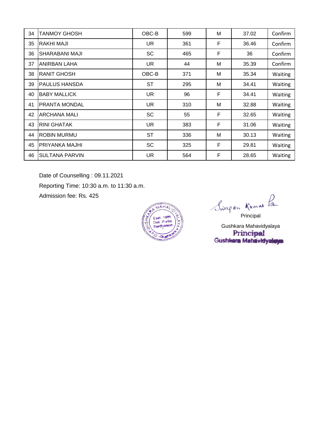| 34 | TANMOY GHOSH          | OBC-B     | 599 | M | 37.02 | Confirm        |
|----|-----------------------|-----------|-----|---|-------|----------------|
| 35 | <b>RAKHI MAJI</b>     | UR.       | 361 | F | 36.46 | Confirm        |
| 36 | <b>SHARABANI MAJI</b> | <b>SC</b> | 465 | F | 36    | Confirm        |
| 37 | <b>ANIRBAN LAHA</b>   | <b>UR</b> | 44  | M | 35.39 | Confirm        |
| 38 | <b>RANIT GHOSH</b>    | OBC-B     | 371 | M | 35.34 | Waiting        |
| 39 | <b>PAULUS HANSDA</b>  | <b>ST</b> | 295 | M | 34.41 | Waiting        |
| 40 | <b>BABY MALLICK</b>   | UR.       | 96  | F | 34.41 | Waiting        |
| 41 | <b>PRANTA MONDAL</b>  | <b>UR</b> | 310 | M | 32.88 | Waiting        |
| 42 | IARCHANA MALI         | <b>SC</b> | 55  | F | 32.65 | Waiting        |
| 43 | IRINI GHATAK          | <b>UR</b> | 383 | F | 31.06 | Waiting        |
| 44 | <b>ROBIN MURMU</b>    | <b>ST</b> | 336 | M | 30.13 | Waiting        |
| 45 | <b>PRIYANKA MAJHI</b> | <b>SC</b> | 325 | F | 29.81 | Waiting        |
| 46 | <b>SULTANA PARVIN</b> | <b>UR</b> | 564 | F | 28.65 | <b>Waiting</b> |

Date of Counselling : 09.11.2021

Reporting Time: 10:30 a.m. to 11:30 a.m.

Admission fee: Rs. 425



Swapan Kumas Pan

Gushkara Mahavidyalaya<br>**Principal**<br>Gushkara Mahavidyalaya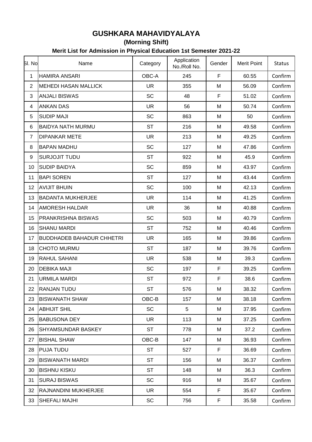## **GUSHKARA MAHAVIDYALAYA**

**(Morning Shift)**

## **Merit List for Admission in Physical Education 1st Semester 2021-22**

| SI. No         | Name                             | Category  | Application  | Gender | <b>Merit Point</b> | <b>Status</b> |
|----------------|----------------------------------|-----------|--------------|--------|--------------------|---------------|
|                |                                  |           | No./Roll No. |        |                    |               |
| 1              | <b>HAMIRA ANSARI</b>             | OBC-A     | 245          | F      | 60.55              | Confirm       |
| $\overline{2}$ | <b>MEHEDI HASAN MALLICK</b>      | <b>UR</b> | 355          | M      | 56.09              | Confirm       |
| 3              | <b>ANJALI BISWAS</b>             | <b>SC</b> | 48           | F      | 51.02              | Confirm       |
| 4              | <b>ANKAN DAS</b>                 | <b>UR</b> | 56           | M      | 50.74              | Confirm       |
| 5              | <b>SUDIP MAJI</b>                | <b>SC</b> | 863          | M      | 50                 | Confirm       |
| 6              | <b>BAIDYA NATH MURMU</b>         | <b>ST</b> | 216          | M      | 49.58              | Confirm       |
| $\overline{7}$ | <b>DIPANKAR METE</b>             | <b>UR</b> | 213          | M      | 49.25              | Confirm       |
| 8              | <b>BAPAN MADHU</b>               | <b>SC</b> | 127          | M      | 47.86              | Confirm       |
| 9              | SURJOJIT TUDU                    | <b>ST</b> | 922          | M      | 45.9               | Confirm       |
| 10             | <b>SUDIP BAIDYA</b>              | <b>SC</b> | 859          | M      | 43.97              | Confirm       |
| 11             | <b>BAPI SOREN</b>                | <b>ST</b> | 127          | M      | 43.44              | Confirm       |
| 12             | <b>AVIJIT BHUIN</b>              | <b>SC</b> | 100          | M      | 42.13              | Confirm       |
| 13             | <b>BADANTA MUKHERJEE</b>         | <b>UR</b> | 114          | M      | 41.25              | Confirm       |
| 14             | <b>AMORESH HALDAR</b>            | <b>UR</b> | 36           | M      | 40.88              | Confirm       |
| 15             | <b>PRANKRISHNA BISWAS</b>        | <b>SC</b> | 503          | M      | 40.79              | Confirm       |
| 16             | <b>SHANU MARDI</b>               | <b>ST</b> | 752          | M      | 40.46              | Confirm       |
| 17             | <b>BUDDHADEB BAHADUR CHHETRI</b> | <b>UR</b> | 165          | M      | 39.86              | Confirm       |
| 18             | <b>CHOTO MURMU</b>               | <b>ST</b> | 187          | M      | 39.76              | Confirm       |
| 19             | <b>RAHUL SAHANI</b>              | <b>UR</b> | 538          | M      | 39.3               | Confirm       |
| 20             | <b>DEBIKA MAJI</b>               | <b>SC</b> | 197          | F      | 39.25              | Confirm       |
| 21             | <b>URMILA MARDI</b>              | <b>ST</b> | 972          | F      | 38.6               | Confirm       |
| 22             | <b>RANJAN TUDU</b>               | <b>ST</b> | 576          | M      | 38.32              | Confirm       |
| 23             | <b>BISWANATH SHAW</b>            | OBC-B     | 157          | Μ      | 38.18              | Confirm       |
| 24             | <b>ABHIJIT SHIL</b>              | <b>SC</b> | 5            | M      | 37.95              | Confirm       |
| 25             | <b>BABUSONA DEY</b>              | <b>UR</b> | 113          | M      | 37.25              | Confirm       |
| 26             | <b>SHYAMSUNDAR BASKEY</b>        | <b>ST</b> | 778          | M      | 37.2               | Confirm       |
| 27             | <b>BISHAL SHAW</b>               | OBC-B     | 147          | M      | 36.93              | Confirm       |
| 28             | <b>PUJA TUDU</b>                 | <b>ST</b> | 527          | F      | 36.69              | Confirm       |
| 29             | <b>BISWANATH MARDI</b>           | <b>ST</b> | 156          | Μ      | 36.37              | Confirm       |
| 30             | <b>BISHNU KISKU</b>              | <b>ST</b> | 148          | M      | 36.3               | Confirm       |
| 31             | <b>SURAJ BISWAS</b>              | <b>SC</b> | 916          | M      | 35.67              | Confirm       |
| 32             | RAJNANDINI MUKHERJEE             | UR.       | 554          | F      | 35.67              | Confirm       |
| 33             | SHEFALI MAJHI                    | SC        | 756          | F      | 35.58              | Confirm       |